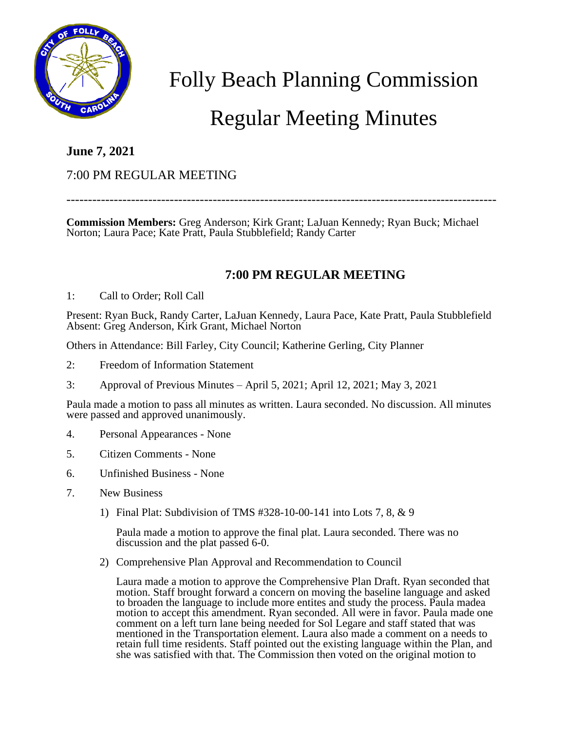

Folly Beach Planning Commission

# Regular Meeting Minutes

# **June 7, 2021**

### 7:00 PM REGULAR MEETING

----------------------------------------------------------------------------------------------------

**Commission Members:** Greg Anderson; Kirk Grant; LaJuan Kennedy; Ryan Buck; Michael Norton; Laura Pace; Kate Pratt, Paula Stubblefield; Randy Carter

## **7:00 PM REGULAR MEETING**

#### 1: Call to Order; Roll Call

Present: Ryan Buck, Randy Carter, LaJuan Kennedy, Laura Pace, Kate Pratt, Paula Stubblefield Absent: Greg Anderson, Kirk Grant, Michael Norton

Others in Attendance: Bill Farley, City Council; Katherine Gerling, City Planner

- 2: Freedom of Information Statement
- 3: Approval of Previous Minutes April 5, 2021; April 12, 2021; May 3, 2021

Paula made a motion to pass all minutes as written. Laura seconded. No discussion. All minutes were passed and approved unanimously.

- 4. Personal Appearances None
- 5. Citizen Comments None
- 6. Unfinished Business None
- 7. New Business
	- 1) Final Plat: Subdivision of TMS #328-10-00-141 into Lots 7, 8, & 9

Paula made a motion to approve the final plat. Laura seconded. There was no discussion and the plat passed 6-0.

2) Comprehensive Plan Approval and Recommendation to Council

Laura made a motion to approve the Comprehensive Plan Draft. Ryan seconded that motion. Staff brought forward a concern on moving the baseline language and asked to broaden the language to include more entites and study the process. Paula madea motion to accept this amendment. Ryan seconded. All were in favor. Paula made one comment on a left turn lane being needed for Sol Legare and staff stated that was mentioned in the Transportation element. Laura also made a comment on a needs to retain full time residents. Staff pointed out the existing language within the Plan, and she was satisfied with that. The Commission then voted on the original motion to